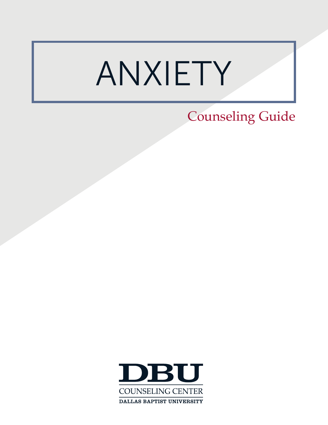# ANXIETY

# Counseling Guide

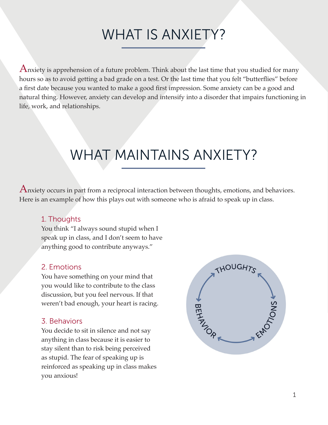# WHAT IS ANXIETY?

Anxiety is apprehension of a future problem. Think about the last time that you studied for many hours so as to avoid getting a bad grade on a test. Or the last time that you felt "butterflies" before a first date because you wanted to make a good first impression. Some anxiety can be a good and natural thing. However, anxiety can develop and intensify into a disorder that impairs functioning in life, work, and relationships.

# WHAT MAINTAINS ANXIETY?

Anxiety occurs in part from a reciprocal interaction between thoughts, emotions, and behaviors. Here is an example of how this plays out with someone who is afraid to speak up in class.

# 1. Thoughts

You think "I always sound stupid when I speak up in class, and I don't seem to have anything good to contribute anyways."

# 2. Emotions

You have something on your mind that you would like to contribute to the class discussion, but you feel nervous. If that weren't bad enough, your heart is racing.

# 3. Behaviors

You decide to sit in silence and not say anything in class because it is easier to stay silent than to risk being perceived as stupid. The fear of speaking up is reinforced as speaking up in class makes you anxious!

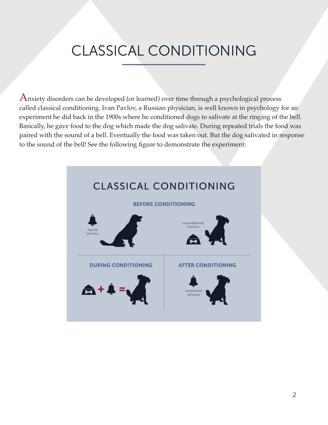# CLASSICAL CONDITIONING

Anxiety disorders can be developed (or learned) over time through a psychological process called classical conditioning. Ivan Pavlov, a Russian physician, is well known in psychology for an experiment he did back in the 1900s where he conditioned dogs to salivate at the ringing of the bell. Basically, he gave food to the dog which made the dog salivate. During repeated trials the food was paired with the sound of a bell. Eventually the food was taken out. But the dog salivated in response to the sound of the bell! See the following figure to demonstrate the experiment:

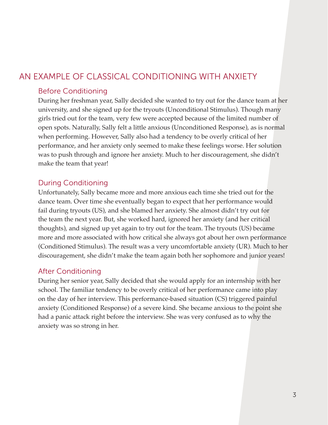# AN EXAMPLE OF CLASSICAL CONDITIONING WITH ANXIETY

# Before Conditioning

During her freshman year, Sally decided she wanted to try out for the dance team at her university, and she signed up for the tryouts (Unconditional Stimulus). Though many girls tried out for the team, very few were accepted because of the limited number of open spots. Naturally, Sally felt a little anxious (Unconditioned Response), as is normal when performing. However, Sally also had a tendency to be overly critical of her performance, and her anxiety only seemed to make these feelings worse. Her solution was to push through and ignore her anxiety. Much to her discouragement, she didn't make the team that year!

### During Conditioning

Unfortunately, Sally became more and more anxious each time she tried out for the dance team. Over time she eventually began to expect that her performance would fail during tryouts (US), and she blamed her anxiety. She almost didn't try out for the team the next year. But, she worked hard, ignored her anxiety (and her critical thoughts), and signed up yet again to try out for the team. The tryouts (US) became more and more associated with how critical she always got about her own performance (Conditioned Stimulus). The result was a very uncomfortable anxiety (UR). Much to her discouragement, she didn't make the team again both her sophomore and junior years!

### After Conditioning

During her senior year, Sally decided that she would apply for an internship with her school. The familiar tendency to be overly critical of her performance came into play on the day of her interview. This performance-based situation (CS) triggered painful anxiety (Conditioned Response) of a severe kind. She became anxious to the point she had a panic attack right before the interview. She was very confused as to why the anxiety was so strong in her.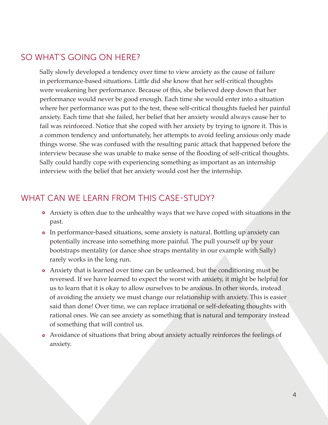# SO WHAT'S GOING ON HERE?

Sally slowly developed a tendency over time to view anxiety as the cause of failure in performance-based situations. Little did she know that her self-critical thoughts were weakening her performance. Because of this, she believed deep down that her performance would never be good enough. Each time she would enter into a situation where her performance was put to the test, these self-critical thoughts fueled her painful anxiety. Each time that she failed, her belief that her anxiety would always cause her to fail was reinforced. Notice that she coped with her anxiety by trying to ignore it. This is a common tendency and unfortunately, her attempts to avoid feeling anxious only made things worse. She was confused with the resulting panic attack that happened before the interview because she was unable to make sense of the flooding of self-critical thoughts. Sally could hardly cope with experiencing something as important as an internship interview with the belief that her anxiety would cost her the internship.

# WHAT CAN WE LEARN FROM THIS CASE-STUDY?

- Anxiety is often due to the unhealthy ways that we have coped with situations in the past.
- In performance-based situations, some anxiety is natural. Bottling up anxiety can potentially increase into something more painful. The pull yourself up by your bootstraps mentality (or dance shoe straps mentality in our example with Sally) rarely works in the long run.
- Anxiety that is learned over time can be unlearned, but the conditioning must be reversed. If we have learned to expect the worst with anxiety, it might be helpful for us to learn that it is okay to allow ourselves to be anxious. In other words, instead of avoiding the anxiety we must change our relationship with anxiety. This is easier said than done! Over time, we can replace irrational or self-defeating thoughts with rational ones. We can see anxiety as something that is natural and temporary instead of something that will control us.
- Avoidance of situations that bring about anxiety actually reinforces the feelings of anxiety.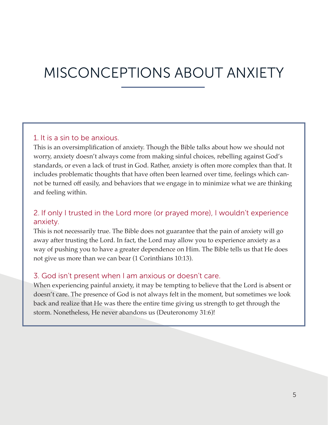# MISCONCEPTIONS ABOUT ANXIETY

### 1. It is a sin to be anxious.

This is an oversimplification of anxiety. Though the Bible talks about how we should not worry, anxiety doesn't always come from making sinful choices, rebelling against God's standards, or even a lack of trust in God. Rather, anxiety is often more complex than that. It includes problematic thoughts that have often been learned over time, feelings which cannot be turned off easily, and behaviors that we engage in to minimize what we are thinking and feeling within.

# 2. If only I trusted in the Lord more (or prayed more), I wouldn't experience anxiety.

This is not necessarily true. The Bible does not guarantee that the pain of anxiety will go away after trusting the Lord. In fact, the Lord may allow you to experience anxiety as a way of pushing you to have a greater dependence on Him. The Bible tells us that He does not give us more than we can bear (1 Corinthians 10:13).

#### 3. God isn't present when I am anxious or doesn't care.

When experiencing painful anxiety, it may be tempting to believe that the Lord is absent or doesn't care. The presence of God is not always felt in the moment, but sometimes we look back and realize that He was there the entire time giving us strength to get through the storm. Nonetheless, He never abandons us (Deuteronomy 31:6)!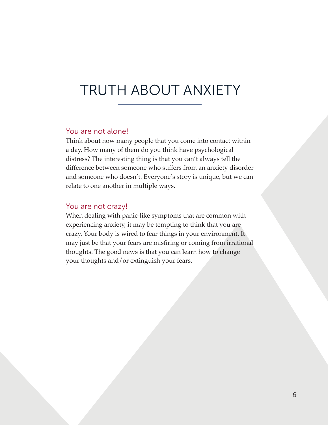# TRUTH ABOUT ANXIETY

#### You are not alone!

Think about how many people that you come into contact within a day. How many of them do you think have psychological distress? The interesting thing is that you can't always tell the difference between someone who suffers from an anxiety disorder and someone who doesn't. Everyone's story is unique, but we can relate to one another in multiple ways.

#### You are not crazy!

When dealing with panic-like symptoms that are common with experiencing anxiety, it may be tempting to think that you are crazy. Your body is wired to fear things in your environment. It may just be that your fears are misfiring or coming from irrational thoughts. The good news is that you can learn how to change your thoughts and/or extinguish your fears.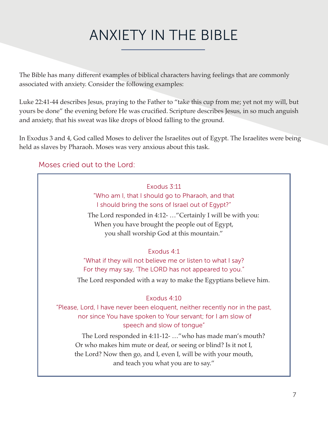# ANXIETY IN THE BIBLE

The Bible has many different examples of biblical characters having feelings that are commonly associated with anxiety. Consider the following examples:

Luke 22:41-44 describes Jesus, praying to the Father to "take this cup from me; yet not my will, but yours be done" the evening before He was crucified. Scripture describes Jesus, in so much anguish and anxiety, that his sweat was like drops of blood falling to the ground.

In Exodus 3 and 4, God called Moses to deliver the Israelites out of Egypt. The Israelites were being held as slaves by Pharaoh. Moses was very anxious about this task.

# Moses cried out to the Lord:

Exodus 3:11 "Who am I, that I should go to Pharaoh, and that I should bring the sons of Israel out of Egypt?"

The Lord responded in 4:12- …"Certainly I will be with you: When you have brought the people out of Egypt, you shall worship God at this mountain."

### Exodus 4:1

"What if they will not believe me or listen to what I say? For they may say, 'The LORD has not appeared to you."

The Lord responded with a way to make the Egyptians believe him.

### Exodus 4:10

"Please, Lord, I have never been eloquent, neither recently nor in the past, nor since You have spoken to Your servant; for I am slow of speech and slow of tongue"

The Lord responded in 4:11-12- …"who has made man's mouth? Or who makes him mute or deaf, or seeing or blind? Is it not I, the Lord? Now then go, and I, even I, will be with your mouth, and teach you what you are to say."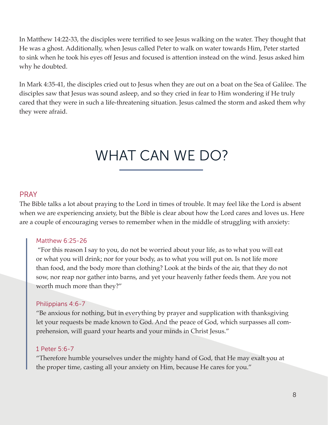In Matthew 14:22-33, the disciples were terrified to see Jesus walking on the water. They thought that He was a ghost. Additionally, when Jesus called Peter to walk on water towards Him, Peter started to sink when he took his eyes off Jesus and focused is attention instead on the wind. Jesus asked him why he doubted.

In Mark 4:35-41, the disciples cried out to Jesus when they are out on a boat on the Sea of Galilee. The disciples saw that Jesus was sound asleep, and so they cried in fear to Him wondering if He truly cared that they were in such a life-threatening situation. Jesus calmed the storm and asked them why they were afraid.

# WHAT CAN WE DO?

#### PRAY

The Bible talks a lot about praying to the Lord in times of trouble. It may feel like the Lord is absent when we are experiencing anxiety, but the Bible is clear about how the Lord cares and loves us. Here are a couple of encouraging verses to remember when in the middle of struggling with anxiety:

#### Matthew 6:25-26

 "For this reason I say to you, do not be worried about your life, as to what you will eat or what you will drink; nor for your body, as to what you will put on. Is not life more than food, and the body more than clothing? Look at the birds of the air, that they do not sow, nor reap nor gather into barns, and yet your heavenly father feeds them. Are you not worth much more than they?"

#### Philippians 4:6-7

"Be anxious for nothing, but in everything by prayer and supplication with thanksgiving let your requests be made known to God. And the peace of God, which surpasses all comprehension, will guard your hearts and your minds in Christ Jesus."

#### 1 Peter 5:6-7

"Therefore humble yourselves under the mighty hand of God, that He may exalt you at the proper time, casting all your anxiety on Him, because He cares for you."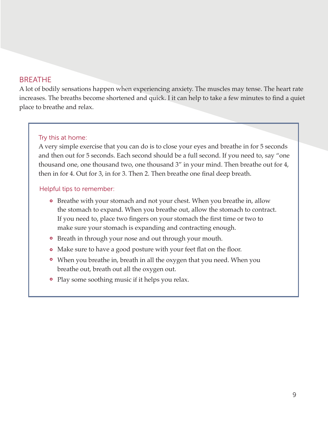### BREATHE

A lot of bodily sensations happen when experiencing anxiety. The muscles may tense. The heart rate increases. The breaths become shortened and quick. I it can help to take a few minutes to find a quiet place to breathe and relax.

#### Try this at home:

A very simple exercise that you can do is to close your eyes and breathe in for 5 seconds and then out for 5 seconds. Each second should be a full second. If you need to, say "one thousand one, one thousand two, one thousand 3" in your mind. Then breathe out for 4, then in for 4. Out for 3, in for 3. Then 2. Then breathe one final deep breath.

#### Helpful tips to remember:

- Breathe with your stomach and not your chest. When you breathe in, allow the stomach to expand. When you breathe out, allow the stomach to contract. If you need to, place two fingers on your stomach the first time or two to make sure your stomach is expanding and contracting enough.
- Breath in through your nose and out through your mouth.
- Make sure to have a good posture with your feet flat on the floor.
- When you breathe in, breath in all the oxygen that you need. When you breathe out, breath out all the oxygen out.
- Play some soothing music if it helps you relax.